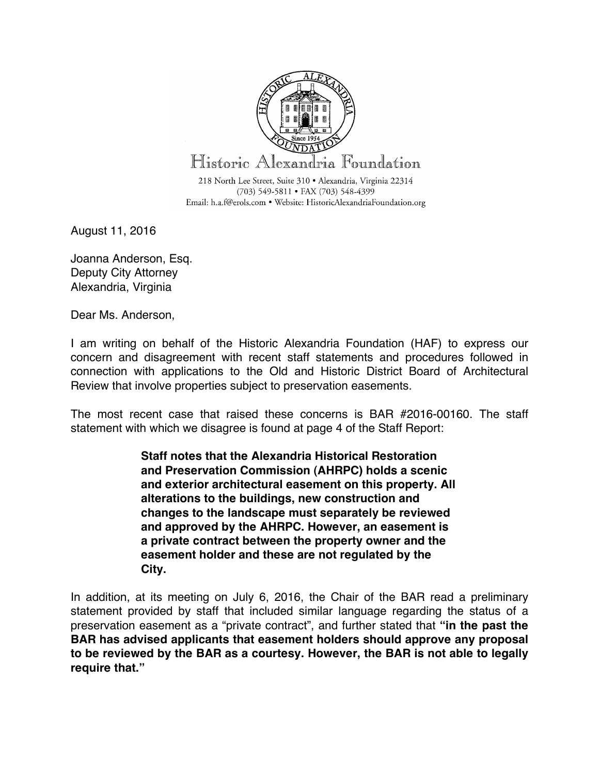

August 11, 2016

Joanna Anderson, Esq. Deputy City Attorney Alexandria, Virginia

Dear Ms. Anderson,

I am writing on behalf of the Historic Alexandria Foundation (HAF) to express our concern and disagreement with recent staff statements and procedures followed in connection with applications to the Old and Historic District Board of Architectural Review that involve properties subject to preservation easements.

The most recent case that raised these concerns is BAR #2016-00160. The staff statement with which we disagree is found at page 4 of the Staff Report:

> **Staff notes that the Alexandria Historical Restoration and Preservation Commission (AHRPC) holds a scenic and exterior architectural easement on this property. All alterations to the buildings, new construction and changes to the landscape must separately be reviewed and approved by the AHRPC. However, an easement is a private contract between the property owner and the easement holder and these are not regulated by the City.**

In addition, at its meeting on July 6, 2016, the Chair of the BAR read a preliminary statement provided by staff that included similar language regarding the status of a preservation easement as a "private contract", and further stated that **"in the past the BAR has advised applicants that easement holders should approve any proposal to be reviewed by the BAR as a courtesy. However, the BAR is not able to legally require that."**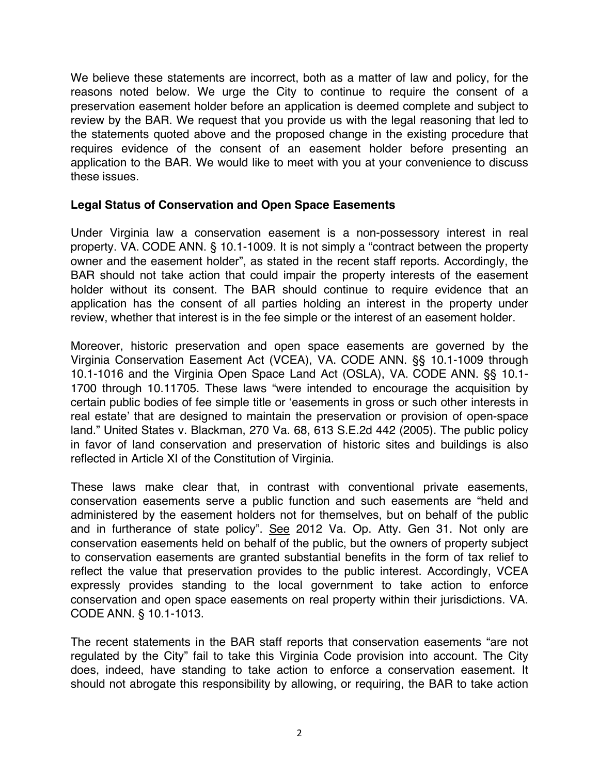We believe these statements are incorrect, both as a matter of law and policy, for the reasons noted below. We urge the City to continue to require the consent of a preservation easement holder before an application is deemed complete and subject to review by the BAR. We request that you provide us with the legal reasoning that led to the statements quoted above and the proposed change in the existing procedure that requires evidence of the consent of an easement holder before presenting an application to the BAR. We would like to meet with you at your convenience to discuss these issues.

## **Legal Status of Conservation and Open Space Easements**

Under Virginia law a conservation easement is a non-possessory interest in real property. VA. CODE ANN. § 10.1-1009. It is not simply a "contract between the property owner and the easement holder", as stated in the recent staff reports. Accordingly, the BAR should not take action that could impair the property interests of the easement holder without its consent. The BAR should continue to require evidence that an application has the consent of all parties holding an interest in the property under review, whether that interest is in the fee simple or the interest of an easement holder.

Moreover, historic preservation and open space easements are governed by the Virginia Conservation Easement Act (VCEA), VA. CODE ANN. §§ 10.1-1009 through 10.1-1016 and the Virginia Open Space Land Act (OSLA), VA. CODE ANN. §§ 10.1- 1700 through 10.11705. These laws "were intended to encourage the acquisition by certain public bodies of fee simple title or ʻeasements in gross or such other interests in real estate' that are designed to maintain the preservation or provision of open-space land." United States v. Blackman, 270 Va. 68, 613 S.E.2d 442 (2005). The public policy in favor of land conservation and preservation of historic sites and buildings is also reflected in Article XI of the Constitution of Virginia.

These laws make clear that, in contrast with conventional private easements, conservation easements serve a public function and such easements are "held and administered by the easement holders not for themselves, but on behalf of the public and in furtherance of state policy". See 2012 Va. Op. Atty. Gen 31. Not only are conservation easements held on behalf of the public, but the owners of property subject to conservation easements are granted substantial benefits in the form of tax relief to reflect the value that preservation provides to the public interest. Accordingly, VCEA expressly provides standing to the local government to take action to enforce conservation and open space easements on real property within their jurisdictions. VA. CODE ANN. § 10.1-1013.

The recent statements in the BAR staff reports that conservation easements "are not regulated by the City" fail to take this Virginia Code provision into account. The City does, indeed, have standing to take action to enforce a conservation easement. It should not abrogate this responsibility by allowing, or requiring, the BAR to take action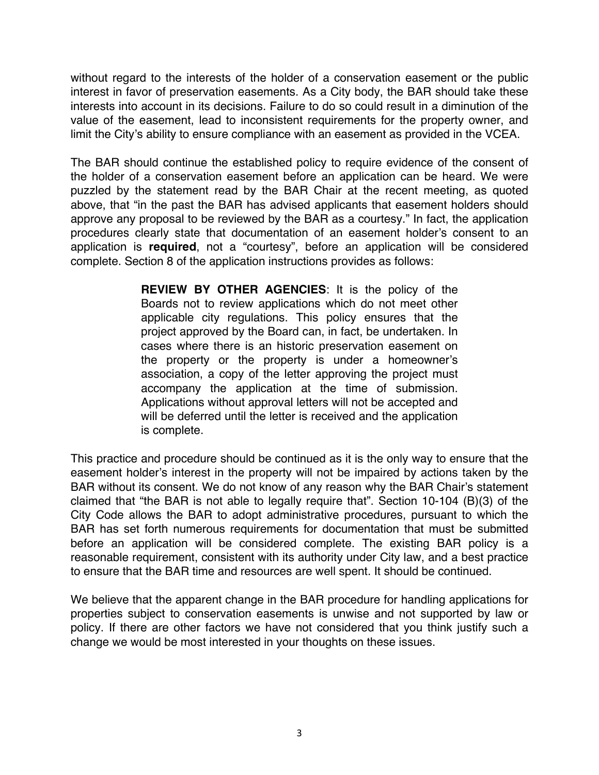without regard to the interests of the holder of a conservation easement or the public interest in favor of preservation easements. As a City body, the BAR should take these interests into account in its decisions. Failure to do so could result in a diminution of the value of the easement, lead to inconsistent requirements for the property owner, and limit the City's ability to ensure compliance with an easement as provided in the VCEA.

The BAR should continue the established policy to require evidence of the consent of the holder of a conservation easement before an application can be heard. We were puzzled by the statement read by the BAR Chair at the recent meeting, as quoted above, that "in the past the BAR has advised applicants that easement holders should approve any proposal to be reviewed by the BAR as a courtesy." In fact, the application procedures clearly state that documentation of an easement holder's consent to an application is **required**, not a "courtesy", before an application will be considered complete. Section 8 of the application instructions provides as follows:

> **REVIEW BY OTHER AGENCIES**: It is the policy of the Boards not to review applications which do not meet other applicable city regulations. This policy ensures that the project approved by the Board can, in fact, be undertaken. In cases where there is an historic preservation easement on the property or the property is under a homeowner's association, a copy of the letter approving the project must accompany the application at the time of submission. Applications without approval letters will not be accepted and will be deferred until the letter is received and the application is complete.

This practice and procedure should be continued as it is the only way to ensure that the easement holder's interest in the property will not be impaired by actions taken by the BAR without its consent. We do not know of any reason why the BAR Chair's statement claimed that "the BAR is not able to legally require that". Section 10-104 (B)(3) of the City Code allows the BAR to adopt administrative procedures, pursuant to which the BAR has set forth numerous requirements for documentation that must be submitted before an application will be considered complete. The existing BAR policy is a reasonable requirement, consistent with its authority under City law, and a best practice to ensure that the BAR time and resources are well spent. It should be continued.

We believe that the apparent change in the BAR procedure for handling applications for properties subject to conservation easements is unwise and not supported by law or policy. If there are other factors we have not considered that you think justify such a change we would be most interested in your thoughts on these issues.